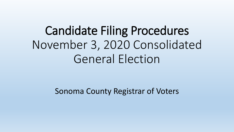# Candidate Filing Procedures November 3, 2020 Consolidated General Election

Sonoma County Registrar of Voters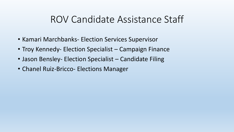### ROV Candidate Assistance Staff

- Kamari Marchbanks- Election Services Supervisor
- Troy Kennedy- Election Specialist Campaign Finance
- Jason Bensley- Election Specialist Candidate Filing
- Chanel Ruiz-Bricco- Elections Manager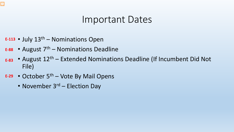### $\overline{\mathbf{z}}$

### Important Dates

- July 13th Nominations Open **E-113**
- August 7th Nominations Deadline **E-88**
- August  $12<sup>th</sup>$  Extended Nominations Deadline (If Incumbent Did Not File) **E-83**
- October 5th Vote By Mail Opens **E-29**
	- November  $3^{rd}$  Election Day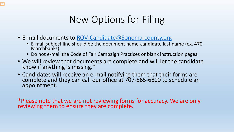## New Options for Filing

• E-mail documents to [ROV-Candidate@Sonoma-county.org](mailto:ROV-Candidate@Sonoma-county.org)

Ę

- E-mail subject line should be the document name-candidate last name (ex. 470- Marchbanks)
- Do not e-mail the Code of Fair Campaign Practices or blank instruction pages.
- We will review that documents are complete and will let the candidate know if anything is missing.\*
- Candidates will receive an e-mail notifying them that their forms are complete and they can call our office at 707-565-6800 to schedule an appointment.

\*Please note that we are not reviewing forms for accuracy. We are only reviewing them to ensure they are complete.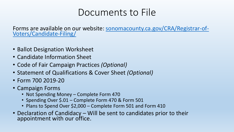### Documents to File

Forms are available on our website: sonomacounty.ca.gov/CRA/Registrar-of-<br>Voters/Candidate-Filing/

- Ballot Designation Worksheet
- Candidate Information Sheet
- Code of Fair Campaign Practices *(Optional)*
- Statement of Qualifications & Cover Sheet *(Optional)*
- Form 700 2019-20
- Campaign Forms
	- Not Spending Money Complete Form 470
	- Spending Over \$.01 Complete Form 470 & Form 501
	- Plans to Spend Over \$2,000 Complete Form 501 and Form 410
- Declaration of Candidacy Will be sent to candidates prior to their appointment with our office.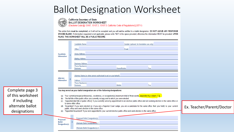### Ballot Designation Worksheet



**California Secretary of State BALLOT DESIGNATION WORKSHEET** 

(Elections Code §§ 13107, 13107.3, 13107.5; California Code of Regulations § 20711)

This entire form must be completed, or it will not be accepted and you will not be entitled to a ballot designation. DO NOT LEAVE ANY RESPONSE SPACES BLANK. If information requested is not applicable, please write "N/A" in the space provided, otherwise the information MUST be provided. UPON FILING, THIS WORKSHEET WILL BE A PUBLIC RECORD.

|                                                                          | Candidate<br>Information                    | Candidate Name:<br>Office:<br>Home Address:<br>Mailing Address:<br><b>Business Address</b><br>Phone Number(s)<br>Business:                                                                                                                                                                                                                                                                                                                                                                                                                                                                                                                                                                                  | Email:<br>Home/Mobile: | Gender (optional, for translation use only):<br>Fax: |                           |
|--------------------------------------------------------------------------|---------------------------------------------|-------------------------------------------------------------------------------------------------------------------------------------------------------------------------------------------------------------------------------------------------------------------------------------------------------------------------------------------------------------------------------------------------------------------------------------------------------------------------------------------------------------------------------------------------------------------------------------------------------------------------------------------------------------------------------------------------------------|------------------------|------------------------------------------------------|---------------------------|
|                                                                          | Attorney<br>Information                     | Attorney Name (or other person authorized to act on your behalf):<br>Address:<br><b>Phone Number(s)</b><br>Business:                                                                                                                                                                                                                                                                                                                                                                                                                                                                                                                                                                                        | <b>Mobile</b>          | Fax:                                                 |                           |
| Complete page 3<br>of this worksheet<br>if including<br>alternate ballot | (b)<br>(c)<br>(d)                           | You may select as your ballot designation one of the following designations:<br>Your current principal profession(s), vocation(s), or occupation(s) [maximum total of three words, separated by a slash (*/")].<br>The full title of the public office you currently occupy and to which you were elected.<br>"Appointed [full title of public office]" if you currently serve by appointment in an elective public office and are seeking election to the same office or<br>to some other office.<br>"Incumbent" if you were elected (or, if you are a Superior Court Judge, you are a candidate for the same office that you hold) to your current<br>public office and seek election to the same office. |                        |                                                      | Ex. Teacher/Parent/Doctor |
| designations                                                             |                                             | (e) "Appointed Incumbent" if you were appointed to your current elective public office and seek election to the same office.                                                                                                                                                                                                                                                                                                                                                                                                                                                                                                                                                                                |                        |                                                      |                           |
|                                                                          | Proposed<br><b>Ballot</b><br>Designation(s) | Proposed Ballot Designation(s):<br>Alternate Ballot Designation(s) 1<br>2 Alternate Ballot Designation(s)                                                                                                                                                                                                                                                                                                                                                                                                                                                                                                                                                                                                   |                        |                                                      |                           |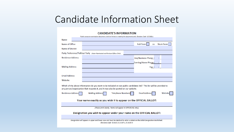### Candidate Information Sheet

#### **CANDIDATE'S INFORMATION**

|                           | Public access to nomination documents shall be limited to viewing the documents only. Elections Code §17100(c)                                                                                                |
|---------------------------|---------------------------------------------------------------------------------------------------------------------------------------------------------------------------------------------------------------|
| <b>Name</b>               |                                                                                                                                                                                                               |
| Name of Office            | Short-Term<br><b>Full-Term</b><br><b>OR</b>                                                                                                                                                                   |
| Name of District          |                                                                                                                                                                                                               |
|                           | Party Preference/Political Party (Voter-Nominated and Partisan Offices Only)                                                                                                                                  |
| <b>Residence Address:</b> | Day/Business Phone:                                                                                                                                                                                           |
|                           | Evening/Home Phone:                                                                                                                                                                                           |
| <b>Mailing Address:</b>   | Fax:                                                                                                                                                                                                          |
|                           |                                                                                                                                                                                                               |
| <b>Email Address:</b>     |                                                                                                                                                                                                               |
| Website:                  |                                                                                                                                                                                                               |
|                           | Which of the above information do you want to be included on our public candidates list? This list will be provided to<br>any person/organization that requests it, and it may also be posted on our website. |
| <b>Residence Address</b>  | <b>Telephone Numbers</b><br><b>Email Address</b><br><b>Mailing Address</b><br>Website                                                                                                                         |
|                           | Your name exactly as you wish it to appear on the OFFICIAL BALLOT:                                                                                                                                            |
|                           |                                                                                                                                                                                                               |
|                           | (Please print clearly. Name will appear in UPPERCASE only.)                                                                                                                                                   |
|                           | Designation you wish to appear under your name on the OFFICIAL BALLOT:                                                                                                                                        |
|                           |                                                                                                                                                                                                               |
|                           | Designation will appear in upper and lower case and must be identical to what is stated on the Ballot Designation Worksheet.<br>Elections Code §13107, §13107.3, §13107.5                                     |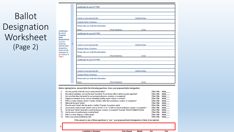### **Ballot** Designation Worksheet  $(Page 2)$

for use of Proposed **Ballot** Designation(s) If you are proposing alternate ballot designations, please provide justification for use of those on Page 3.

Justification

| Justification for use of 1st PVO:             |                  |                  |  |
|-----------------------------------------------|------------------|------------------|--|
|                                               |                  |                  |  |
|                                               |                  |                  |  |
| Current or most recent job title:             |                  | Start/End Dates: |  |
| <b>Employer Name or Business:</b>             |                  |                  |  |
| Person who can verify this information:       |                  |                  |  |
| Name:                                         | Phone Number(s): | Email:           |  |
| Justification for use of 2 <sup>nd</sup> PVO: |                  |                  |  |
|                                               |                  |                  |  |
|                                               |                  |                  |  |
| Current or most recent job title:             |                  | Start/End Dates: |  |
| <b>Employer Name or Business:</b>             |                  |                  |  |
| Person who can verify this information:       |                  |                  |  |
| Name:                                         | Phone Number(s): | Email:           |  |
| Justification for use of 3rd PVO:             |                  |                  |  |
|                                               |                  |                  |  |
|                                               |                  |                  |  |
| Current or most recent job title:             |                  | Start/End Dates: |  |
| <b>Employer Name or Business:</b>             |                  |                  |  |
| Person who can verify this information:       |                  |                  |  |
| Name:                                         | Phone Number(s): | Email:           |  |

Before signing below, answer/initial the following questions. Does your proposed ballot designation:

|              | Use only a portion of the title of your current elected office?                                                              | $\Box$ Yes $\Box$ No       | Initial        |
|--------------|------------------------------------------------------------------------------------------------------------------------------|----------------------------|----------------|
| $\mathbf{2}$ | Non-judicial candidates: Use only the word "Incumbent" for an elective office to which you were appointed?                   | $\square$ Yes $\square$ No | <b>Initial</b> |
| 3)           | Use more than three total words for your principal professions, vocations, or occupations?                                   | $\square$ Yes $\square$ No | <b>Initial</b> |
| 4)           | Suggest an evaluation of you, such as outstanding, leading, expert, virtuous, or eminent?                                    | $\square$ Yes $\square$ No | <b>Initial</b> |
| 5)           | Refer to a status (Veteran, Activist, Founder, Scholar), rather than a profession, vocation, or occupations?                 | $\square$ Yes $\square$ No | <b>Initial</b> |
| 6)           | Abbreviate the word "retired?                                                                                                | $\square$ Yes $\square$ No | Initial        |
|              | Place the word "retired" after the words it modifies? Example: Accountant, retired                                           | $\square$ Yes $\square$ No | <b>Initial</b> |
| -8)          | Use an word or prefix (except "retired") such as "former" or "ex-" to refer to a former profession, vocation, or occupation? | $\square$ Yes $\square$ No | <b>Initial</b> |
| 9)           | Use the word "retired" along with a current profession, vocation, or occupation? Example: Retired Firefighter/Teacher        | $\square$ Yes $\square$ No | Initial        |
| 10)          | Use the name of a political party or political body?                                                                         | $\square$ Yes $\square$ No | <b>Initial</b> |
| 11)          | Refer to a racial, religious, or ethnic group?                                                                               | $\square$ Yes $\square$ No | <b>Initial</b> |
|              | Refer to any activity prohibited by law?                                                                                     | $\Box$ Yes $\Box$ No       | <b>Initial</b> |

If the answer to any of these questions is "yes." your proposed ballot designation is likely to be rejected.

|  | a me mena e my e mere que encara y y e, y em proposamente mes y maner, y e a regenera |  |  |
|--|---------------------------------------------------------------------------------------|--|--|
|  |                                                                                       |  |  |
|  |                                                                                       |  |  |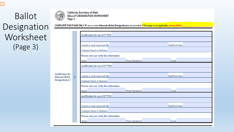### **Ballot** Designation Worksheet  $(Page 3)$

Justification for **Alternate Ballot Designation(s) 1** 

**California Secretary of State** 

Page 3

**BALLOT DESIGNATION WORKSHEET** 

| Justification for use of 1st PVO:       |                  |                  |
|-----------------------------------------|------------------|------------------|
|                                         |                  |                  |
| Current or most recent job title:       |                  | Start/End Dates: |
| <b>Employer Name or Business:</b>       |                  |                  |
| Person who can verify this information: |                  |                  |
| Name:                                   | Phone Number(s): | Email:           |
| Justification for use of 2nd PVO:       |                  |                  |
|                                         |                  |                  |
| Current or most recent job title:       |                  | Start/End Dates: |
| <b>Employer Name or Business:</b>       |                  |                  |
| Person who can verify this information: |                  |                  |
| Name:                                   | Phone Number(s): | Email:           |
| Justification for use of 3rd PVO:       |                  |                  |
|                                         |                  |                  |
| Current or most recent job title:       |                  | Start/End Dates: |
| <b>Employer Name or Business:</b>       |                  |                  |
| Person who can verify this information: |                  |                  |
| Name:                                   | Phone Number(s): | Email:           |

COMPLETE THIS PAGE ONLY IF one or more Alternate Ballot Designation(s) are provided. If this page is not applicable, please initial: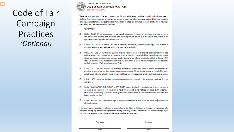### Code of Fair Campaign Practices *(Optional)*

Ę



#### **California Secretary of State CODE OF FAIR CAMPAIGN PRACTICES** (Elections Code & 20440)

There are basic principles of decency, honesty, and fair play which every candidate for public office in the State of California has a moral obligation to observe and uphold in order that, after vigorously contested but fairly conducted campaigns, our citizens may exercise their constitutional right to a free and untrammeled choice and the will of the people may be fully and clearly expressed on the issues.

#### **THEREFORE:**

- $(1)$ I SHALL CONDUCT my campaign openly and publicly, discussing the issues as I see them, presenting my record and policies with sincerity and frankness, and criticizing without fear or favor the record and policies of my opponents or political parties that merit this criticism.
- I SHALL NOT USE OR PERMIT the use of character defamation, whispering campaigns, libel, slander, or  $(2)$ scurrilous attacks on any candidate or his or her personal or family life.
- $(3)$ I SHALL NOT USE OR PERMIT any appeal to negative prejudice based on a candidate's actual or perceived race. religious creed, color, national origin, ancestry, physical disability, mental disability, medical condition, marital status, age, sexual orientation, sex, including gender identity, or any other characteristic set forth in Section 12940 of the Government Code, or association with another person who has any of the actual or perceived characteristics set forth in Section 12940 of the Government Code.
- I SHALL NOT USE OR PERMIT any dishonest or unethical practice that tends to corrupt or undermine our  $(4)$ American system of free elections, or that hampers or prevents the full and free expression of the will of the voters including acts intended to hinder or prevent any eligible person from registering to vote, enrolling to vote, or voting.
- $(5)$ I SHALL NOT coerce election help or campaign contributions for myself or for any other candidate from my employees.
- $(6)$ I SHALL IMMEDIATELY AND PUBLICLY REPUDIATE support deriving from any individual or group that resorts. on behalf of my candidacy or in opposition to that of my opponent, to the methods and tactics that I condemn. I shall accept responsibility to take firm action against any subordinate who violates any provision of this code or the laws governing elections.
- $(7)$ I SHALL DEFEND AND UPHOLD the right of every qualified American voter to full and equal participation in the electoral process.

I, the undersigned, candidate for election to public office in the State of California or treasurer or chairperson of a committee making any independent expenditures, hereby voluntarily endorse, subscribe to, and solemnly pledge myself to conduct my campaign in accordance with the above principles and practices.

| <b>Print Name</b> | Signature |
|-------------------|-----------|
|                   |           |
|                   |           |
|                   |           |
|                   |           |
|                   |           |
| Date              |           |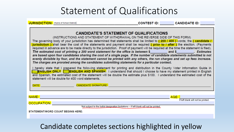### Statement of Qualifications

JURISDICTION: (Name of School District)

\_\_\_\_\_\_\_\_\_\_\_\_\_\_\_\_\_\_\_\_\_\_\_\_\_\_\_\_\_\_\_\_\_\_\_\_\_CONTEST ID: \_\_\_\_\_\_\_\_\_\_\_\_CANDIDATE ID: \_\_\_\_\_\_\_



### Candidate completes sections highlighted in yellow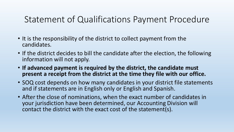### Statement of Qualifications Payment Procedure

- It is the responsibility of the district to collect payment from the candidates.
- If the district decides to bill the candidate after the election, the following information will not apply.
- **If advanced payment is required by the district, the candidate must present a receipt from the district at the time they file with our office.**
- SOQ cost depends on how many candidates in your district file statements and if statements are in English only or English and Spanish.
- After the close of nominations, when the exact number of candidates in your jurisdiction have been determined, our Accounting Division will contact the district with the exact cost of the statement(s).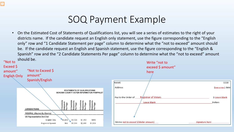### SOQ Payment Example

• On the Estimated Cost of Statements of Qualifications list, you will see a series of estimates to the right of your districts name. If the candidate request an English only statement, use the figure corresponding to the "English only" row and "1 Candidate Statement per page" column to determine what the "not to exceed" amount should be. If the candidate request an English and Spanish statement, use the figure corresponding to the "English & Spanish" row and the "2 Candidate Statements Per page" column to determine what the "not to exceed" amount

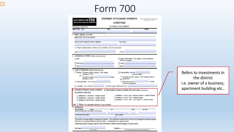## Form 700

| <b>CALIFORNIA FORM</b>                                                                                     |         | <b>STATEMENT OF ECONOMIC INTERESTS</b>                                                                               | Date Initial Filing Received<br>Filing Official Use Only                                                                                                   |
|------------------------------------------------------------------------------------------------------------|---------|----------------------------------------------------------------------------------------------------------------------|------------------------------------------------------------------------------------------------------------------------------------------------------------|
| <b>FAIR POLITICAL PRACTICES COMMISSION</b>                                                                 |         | <b>COVER PAGE</b>                                                                                                    |                                                                                                                                                            |
| Please type or print in ink.                                                                               |         | A PUBLIC DOCUMENT                                                                                                    |                                                                                                                                                            |
| <b>NAME OF FILER (LAST)</b>                                                                                | (FIRST) |                                                                                                                      | (MIDDLE)                                                                                                                                                   |
|                                                                                                            |         |                                                                                                                      |                                                                                                                                                            |
| 1. Office, Agency, or Court                                                                                |         |                                                                                                                      |                                                                                                                                                            |
| Agency Name (Do not use acronyms)                                                                          |         |                                                                                                                      |                                                                                                                                                            |
| Division, Board, Department, District, if applicable                                                       |         | Your Position                                                                                                        |                                                                                                                                                            |
| If filing for multiple positions, list below or on an attachment. (Do not use acronyms)                    |         |                                                                                                                      |                                                                                                                                                            |
| Agency:                                                                                                    |         | Position:                                                                                                            |                                                                                                                                                            |
| 2. Jurisdiction of Office (Check at least one box)                                                         |         |                                                                                                                      |                                                                                                                                                            |
| $\Box$ State                                                                                               |         | (Statewide Jurisdiction)                                                                                             | Judge, Retired Judge, Pro Tem Judge, or Court Commissioner                                                                                                 |
| Multi-County                                                                                               |         | County of                                                                                                            |                                                                                                                                                            |
| City of                                                                                                    |         | Other                                                                                                                |                                                                                                                                                            |
| 3. Type of Statement (Check at least one box)                                                              |         |                                                                                                                      |                                                                                                                                                            |
| December 31, 2019.<br>-or-<br>The period covered is<br>December 31, 2019.<br>Assuming Office: Date assumed | through | -or-leaving office.<br>The period covered is<br>the date of leaving office.                                          | (Check one circle.)<br>The period covered is January 1, 2019, through the date of<br>through                                                               |
| Candidate: Date of Election                                                                                |         | and office sought, if different than Part 1:                                                                         |                                                                                                                                                            |
| 4. Schedule Summary (must complete) $\rightarrow$ Total number of pages including this cover page:         |         |                                                                                                                      |                                                                                                                                                            |
| <b>Schedules attached</b>                                                                                  |         |                                                                                                                      |                                                                                                                                                            |
| Schedule A-1 - Investments - schedule attached                                                             |         | Schedule D - Income - Gifts - schedule attached                                                                      | Schedule C - Income, Loans, & Business Positions - schedule attached                                                                                       |
| Schedule A-2 - Investments - schedule attached<br>Schedule B - Real Property - schedule attached           |         |                                                                                                                      | Schedule E - Income - Gifts - Travel Payments - schedule attached                                                                                          |
| $\text{-}$ Ol' $\text{-}$ $\Box$ None - No reportable interests on any schedule                            |         |                                                                                                                      |                                                                                                                                                            |
| 5. Verification                                                                                            |         |                                                                                                                      |                                                                                                                                                            |
| <b>MAILING ADDRESS</b><br><b>STREET</b><br>(Business or Agency Address Recommended - Public Document)      | CITY    | <b>STATE</b>                                                                                                         | ZIP CODE                                                                                                                                                   |
| DAYTIME TELEPHONE NUMBER                                                                                   |         | <b>EMAIL ADDRESS</b>                                                                                                 |                                                                                                                                                            |
|                                                                                                            |         |                                                                                                                      |                                                                                                                                                            |
| herein and in any attached schedules is true and complete. I acknowledge this is a public document.        |         |                                                                                                                      | I have used all reasonable diligence in preparing this statement. I have reviewed this statement and to the best of my knowledge the information contained |
|                                                                                                            |         | I certify under penalty of perjury under the laws of the State of California that the foregoing is true and correct. |                                                                                                                                                            |
| Date Signed                                                                                                |         | Signature                                                                                                            |                                                                                                                                                            |
| (month, day, year)                                                                                         |         |                                                                                                                      | (File the originally signed paper statement with your filing official.)                                                                                    |

Refers to investments in the district i.e. owner of a business, apartment building etc..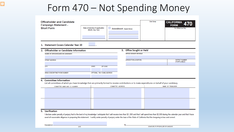### Form 470 - Not Spending Money

| <b>Officeholder and Candidate</b><br><b>Campaign Statement -</b><br><b>Short Form</b>                                                                                                                                                                                                                                                                                                      | Date of election if applicable:<br>(Month, Day, Year) | $\Box$                         | Amendment (Explain Below)      | Date Stamp | <b>CALIFORNIA</b><br><b>FORM</b><br>For Official Use Only |
|--------------------------------------------------------------------------------------------------------------------------------------------------------------------------------------------------------------------------------------------------------------------------------------------------------------------------------------------------------------------------------------------|-------------------------------------------------------|--------------------------------|--------------------------------|------------|-----------------------------------------------------------|
|                                                                                                                                                                                                                                                                                                                                                                                            |                                                       |                                |                                |            |                                                           |
| 1. Statement Covers Calendar Year 20                                                                                                                                                                                                                                                                                                                                                       |                                                       |                                |                                |            |                                                           |
| 2. Officeholder or Candidate Information                                                                                                                                                                                                                                                                                                                                                   |                                                       |                                | 3. Office Sought or Held       |            |                                                           |
| <b>NAME OF OFFICEHOLDER OR CANDIDATE</b>                                                                                                                                                                                                                                                                                                                                                   |                                                       |                                | <b>OFFICE SOUGHT OR HELD</b>   |            |                                                           |
|                                                                                                                                                                                                                                                                                                                                                                                            |                                                       |                                |                                |            |                                                           |
| <b>STREET ADDRESS</b>                                                                                                                                                                                                                                                                                                                                                                      |                                                       |                                | <b>JURISDICTION (LOCATION)</b> |            | <b>DISTRICT NUMBER</b><br>(IF APPLICABLE)                 |
| <b>CITY</b>                                                                                                                                                                                                                                                                                                                                                                                | <b>STATE</b>                                          | ZIP CODE                       |                                |            |                                                           |
|                                                                                                                                                                                                                                                                                                                                                                                            |                                                       |                                |                                |            |                                                           |
| AREA CODE/DAYTIME PHONE NUMBER                                                                                                                                                                                                                                                                                                                                                             |                                                       | OPTIONAL: FAX / E-MAIL ADDRESS |                                |            |                                                           |
|                                                                                                                                                                                                                                                                                                                                                                                            |                                                       |                                |                                |            |                                                           |
| 4. Committee Information<br>List all committees of which you have knowledge that are primarily formed to receive contributions or to make expenditures on behalf of your candidacy.                                                                                                                                                                                                        |                                                       |                                |                                |            |                                                           |
| COMMITTEE NAME AND I.D. NUMBER                                                                                                                                                                                                                                                                                                                                                             |                                                       | COMMITTEE ADDRESS              |                                |            | NAME OF TREASURER                                         |
|                                                                                                                                                                                                                                                                                                                                                                                            |                                                       |                                |                                |            |                                                           |
|                                                                                                                                                                                                                                                                                                                                                                                            |                                                       |                                |                                |            |                                                           |
|                                                                                                                                                                                                                                                                                                                                                                                            |                                                       |                                |                                |            |                                                           |
|                                                                                                                                                                                                                                                                                                                                                                                            |                                                       |                                |                                |            |                                                           |
|                                                                                                                                                                                                                                                                                                                                                                                            |                                                       |                                |                                |            |                                                           |
| 5. Verification                                                                                                                                                                                                                                                                                                                                                                            |                                                       |                                |                                |            |                                                           |
| I declare under penalty of perjury that to the best of my knowledge I anticipate that I will receive less than \$2,000 and that I will spend less than \$2,000 during the calendar year and that I have<br>used all reasonable diligence in preparing this statement. I certify under penalty of perjury under the laws of the State of California that the foregoing is true and correct. |                                                       |                                |                                |            |                                                           |

Executed on ...

 $\overline{\mathbf{F}}$ 

DATE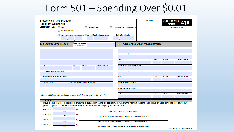### Form 501 - Spending Over \$0.01

| <b>Statement of Organization</b><br><b>Recipient Committee</b>              |                        |                                     | Date Stamp                                | CALIFORNIA 410<br><b>FORM</b>             |
|-----------------------------------------------------------------------------|------------------------|-------------------------------------|-------------------------------------------|-------------------------------------------|
| <b>Statement Type</b><br><b>Initial</b>                                     | <b>Amendment</b>       | <b>Termination - See Part 5</b>     |                                           | For Official Use Only                     |
| Not yet qualified                                                           |                        |                                     |                                           |                                           |
| or                                                                          |                        | Date of termination                 |                                           |                                           |
| Date qualification threshold met Date qualification threshold met           |                        |                                     |                                           |                                           |
|                                                                             |                        |                                     |                                           |                                           |
| I.D. Number<br>1. Committee Information<br>(if applicable)                  |                        |                                     | 2. Treasurer and Other Principal Officers |                                           |
| <b>NAME OF COMMITTEE</b>                                                    |                        | <b>NAME OF TREASURER</b>            |                                           |                                           |
|                                                                             |                        |                                     |                                           |                                           |
|                                                                             |                        | <b>STREET ADDRESS (NO P.O. BOX)</b> |                                           |                                           |
|                                                                             |                        |                                     |                                           |                                           |
| <b>STREET ADDRESS (NO P.O. BOX)</b>                                         |                        | <b>CITY</b>                         | <b>STATE</b>                              | <b>ZIP CODE</b><br><b>AREA CODE/PHONE</b> |
|                                                                             |                        |                                     |                                           |                                           |
| <b>STATE</b><br>ZIP CODE<br><b>CITY</b>                                     | <b>AREA CODE/PHONE</b> | NAME OF ASSISTANT TREASURER, IF ANY |                                           |                                           |
|                                                                             |                        |                                     |                                           |                                           |
| FULL MAILING ADDRESS (IF DIFFERENT)                                         |                        | <b>STREET ADDRESS (NO P.O. BOX)</b> |                                           |                                           |
|                                                                             |                        |                                     |                                           |                                           |
| E-MAIL ADDRESS (REQUIRED) / FAX (OPTIONAL)                                  |                        | <b>CITY</b>                         | <b>STATE</b>                              | <b>ZIP CODE</b><br><b>AREA CODE/PHONE</b> |
|                                                                             |                        |                                     |                                           |                                           |
| <b>COUNTY OF DOMICILE</b><br>JURISDICTION WHERE COMMITTEE IS ACTIVE         |                        | <b>NAME OF PRINCIPAL OFFICER(S)</b> |                                           |                                           |
|                                                                             |                        |                                     |                                           |                                           |
|                                                                             |                        | <b>STREET ADDRESS (NO P.O. BOX)</b> |                                           |                                           |
|                                                                             |                        |                                     |                                           |                                           |
|                                                                             |                        | <b>CITY</b>                         | <b>STATE</b>                              | <b>ZIP CODE</b><br><b>AREA CODE/PHONE</b> |
| Attach additional information on appropriately labeled continuation sheets. |                        |                                     |                                           |                                           |
|                                                                             |                        |                                     |                                           |                                           |

#### 3. Verification

I have used all reasonable diligence in preparing this statement and to the best of my knowledge the information contained herein is true and complete. I certify under penalty of perjury under the laws of the State of California that the foregoing is true and correct.

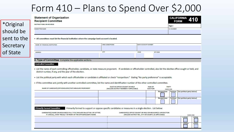### Form 410 – Plans to Spend Over \$2,000

| <b>Recipient Committee</b>                                                                                                                                                                                                                                                   |                                                                                  |                                                               |                                   |                                  |                    | <b>CALIFORNIA</b><br><b>FORM</b> |
|------------------------------------------------------------------------------------------------------------------------------------------------------------------------------------------------------------------------------------------------------------------------------|----------------------------------------------------------------------------------|---------------------------------------------------------------|-----------------------------------|----------------------------------|--------------------|----------------------------------|
| <b>INSTRUCTIONS ON REVERSE</b>                                                                                                                                                                                                                                               |                                                                                  |                                                               |                                   |                                  | Page 2             |                                  |
| <b>COMMITTEE NAME</b>                                                                                                                                                                                                                                                        |                                                                                  |                                                               |                                   |                                  | <b>I.D. NUMBER</b> |                                  |
|                                                                                                                                                                                                                                                                              |                                                                                  |                                                               |                                   |                                  |                    |                                  |
| . All committees must list the financial institution where the campaign bank account is located.                                                                                                                                                                             |                                                                                  |                                                               |                                   |                                  |                    |                                  |
| NAME OF FINANCIAL INSTITUTION                                                                                                                                                                                                                                                | <b>AREA CODE/PHONE</b>                                                           |                                                               | <b>BANK ACCOUNT NUMBER</b>        |                                  |                    |                                  |
| <b>ADDRESS</b>                                                                                                                                                                                                                                                               | CITY                                                                             | <b>STATE</b>                                                  |                                   | <b>ZIP CODE</b>                  |                    |                                  |
|                                                                                                                                                                                                                                                                              |                                                                                  |                                                               |                                   |                                  |                    |                                  |
| <b>Controlled Committee</b><br>. List the name of each controlling officeholder, candidate, or state measure proponent. If candidate or officeholder controlled, also list the elective office sought or held, and<br>district number, if any, and the year of the election. |                                                                                  |                                                               |                                   |                                  |                    |                                  |
| . List the political party with which each officeholder or candidate is affiliated or check "nonpartisan." Stating "No party preference" is acceptable.                                                                                                                      |                                                                                  |                                                               |                                   |                                  |                    |                                  |
| . If this committee acts jointly with another controlled committee, list the name and identification number of the other controlled committee.                                                                                                                               |                                                                                  |                                                               |                                   |                                  |                    |                                  |
| NAME OF CANDIDATE/OFFICEHOLDER/STATE MEASURE PROPONENT                                                                                                                                                                                                                       | <b>ELECTIVE OFFICE SOUGHT OR HELD</b><br>(INCLUDE DISTRICT NUMBER IF APPLICABLE) |                                                               | <b>YEAR OF</b><br><b>ELECTION</b> | <b>PARTY</b><br><b>CHECK ONE</b> |                    |                                  |
|                                                                                                                                                                                                                                                                              |                                                                                  |                                                               |                                   | Nonpartisan                      | Partisan           | (list political party below)     |
|                                                                                                                                                                                                                                                                              |                                                                                  |                                                               |                                   | Nonpartisan                      | Partisan           | (list political party below)     |
| <b>Primarily Formed Committee</b><br>Primarily formed to support or oppose specific candidates or measures in a single election. List below:<br>CANDIDATE(S) NAME OR MEASURE(S) FULL TITLE (INCLUDE BALLOT NO. OR LETTER)                                                    |                                                                                  | CANDIDATE(S) OFFICE SOUGHT OR HELD OR MEASURE(S) JURISDICTION |                                   |                                  |                    |                                  |
| IF A RECALL, STATE "RECALL" IN FRONT OF THE OFFICEHOLDER'S NAME.                                                                                                                                                                                                             |                                                                                  | (INCLUDE DISTRICT NO., CITY OR COUNTY, AS APPLICABLE)         |                                   |                                  |                    | <b>CHECK ONE</b>                 |
|                                                                                                                                                                                                                                                                              |                                                                                  |                                                               |                                   |                                  |                    | <b>SUPPORT</b>                   |

\*Original should be sent to the **Secretary** of State